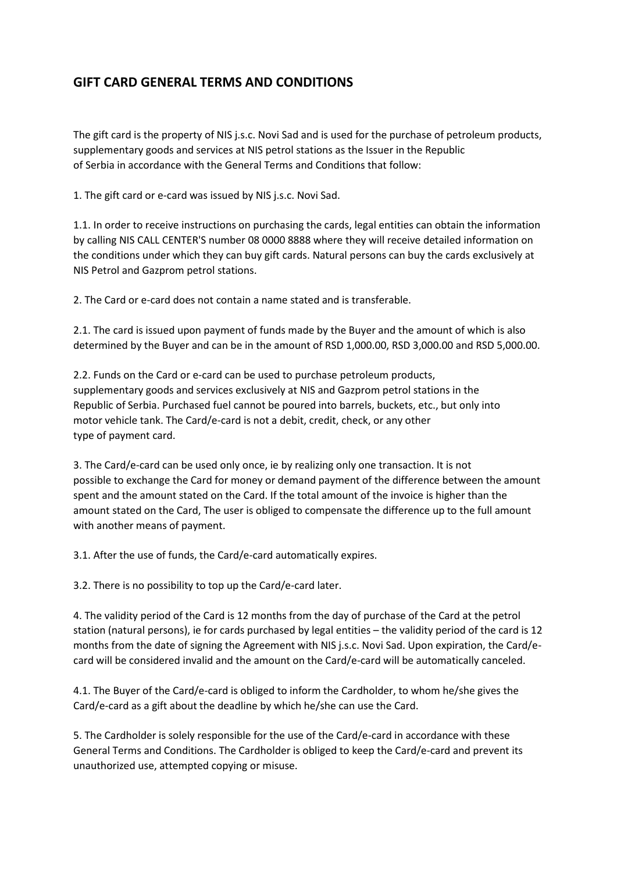## **GIFT CARD GENERAL TERMS AND CONDITIONS**

The gift card is the property of NIS j.s.c. Novi Sad and is used for the purchase of petroleum products, supplementary goods and services at NIS petrol stations as the Issuer in the Republic of Serbia in accordance with the General Terms and Conditions that follow:

1. The gift card or e-card was issued by NIS j.s.c. Novi Sad.

1.1. In order to receive instructions on purchasing the cards, legal entities can obtain the information by calling NIS CALL CENTER'S number 08 0000 8888 where they will receive detailed information on the conditions under which they can buy gift cards. Natural persons can buy the cards exclusively at NIS Petrol and Gazprom petrol stations.

2. The Card or e-card does not contain a name stated and is transferable.

2.1. The card is issued upon payment of funds made by the Buyer and the amount of which is also determined by the Buyer and can be in the amount of RSD 1,000.00, RSD 3,000.00 and RSD 5,000.00.

2.2. Funds on the Card or e-card can be used to purchase petroleum products, supplementary goods and services exclusively at NIS and Gazprom petrol stations in the Republic of Serbia. Purchased fuel cannot be poured into barrels, buckets, etc., but only into motor vehicle tank. The Card/e-card is not a debit, credit, check, or any other type of payment card.

3. The Card/e-card can be used only once, ie by realizing only one transaction. It is not possible to exchange the Card for money or demand payment of the difference between the amount spent and the amount stated on the Card. If the total amount of the invoice is higher than the amount stated on the Card, The user is obliged to compensate the difference up to the full amount with another means of payment.

3.1. After the use of funds, the Card/e-card automatically expires.

3.2. There is no possibility to top up the Card/e-card later.

4. The validity period of the Card is 12 months from the day of purchase of the Card at the petrol station (natural persons), ie for cards purchased by legal entities – the validity period of the card is 12 months from the date of signing the Agreement with NIS j.s.c. Novi Sad. Upon expiration, the Card/ecard will be considered invalid and the amount on the Card/e-card will be automatically canceled.

4.1. The Buyer of the Card/e-card is obliged to inform the Cardholder, to whom he/she gives the Card/e-card as a gift about the deadline by which he/she can use the Card.

5. The Cardholder is solely responsible for the use of the Card/e-card in accordance with these General Terms and Conditions. The Cardholder is obliged to keep the Card/e-card and prevent its unauthorized use, attempted copying or misuse.